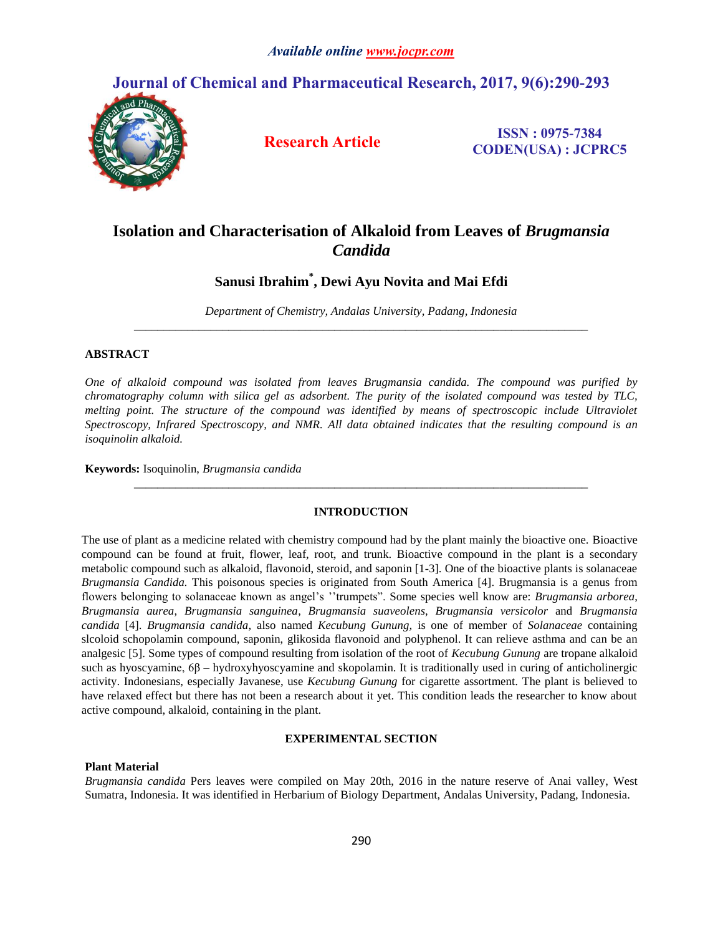## **Journal of Chemical and Pharmaceutical Research, 2017, 9(6):290-293**



**Research Article ISSN : 0975-7384 CODEN(USA) : JCPRC5**

# **Isolation and Characterisation of Alkaloid from Leaves of** *Brugmansia Candida*

## **Sanusi Ibrahim\* , Dewi Ayu Novita and Mai Efdi**

*Department of Chemistry, Andalas University, Padang, Indonesia \_\_\_\_\_\_\_\_\_\_\_\_\_\_\_\_\_\_\_\_\_\_\_\_\_\_\_\_\_\_\_\_\_\_\_\_\_\_\_\_\_\_\_\_\_\_\_\_\_\_\_\_\_\_\_\_\_\_\_\_\_\_\_\_\_\_\_\_\_\_\_\_\_\_\_\_\_*

### **ABSTRACT**

*One of alkaloid compound was isolated from leaves Brugmansia candida. The compound was purified by chromatography column with silica gel as adsorbent. The purity of the isolated compound was tested by TLC, melting point. The structure of the compound was identified by means of spectroscopic include Ultraviolet Spectroscopy, Infrared Spectroscopy, and NMR. All data obtained indicates that the resulting compound is an isoquinolin alkaloid.*

**Keywords:** Isoquinolin, *Brugmansia candida*

## **INTRODUCTION**

*\_\_\_\_\_\_\_\_\_\_\_\_\_\_\_\_\_\_\_\_\_\_\_\_\_\_\_\_\_\_\_\_\_\_\_\_\_\_\_\_\_\_\_\_\_\_\_\_\_\_\_\_\_\_\_\_\_\_\_\_\_\_\_\_\_\_\_\_\_\_\_\_\_\_\_\_\_*

The use of plant as a medicine related with chemistry compound had by the plant mainly the bioactive one. Bioactive compound can be found at fruit, flower, leaf, root, and trunk. Bioactive compound in the plant is a secondary metabolic compound such as alkaloid, flavonoid, steroid, and saponin [1-3]. One of the bioactive plants is solanaceae *Brugmansia Candida.* This poisonous species is originated from South America [4]. Brugmansia is a genus from flowers belonging to solanaceae known as angel's ''trumpets". Some species well know are: *Brugmansia arborea*, *Brugmansia aurea*, *Brugmansia sanguinea*, *Brugmansia suaveolens*, *Brugmansia versicolor* and *Brugmansia candida* [4]. *Brugmansia candida*, also named *Kecubung Gunung,* is one of member of *Solanaceae* containing slcoloid schopolamin compound, saponin, glikosida flavonoid and polyphenol. It can relieve asthma and can be an analgesic [5]. Some types of compound resulting from isolation of the root of *Kecubung Gunung* are tropane alkaloid such as hyoscyamine, 6β – hydroxyhyoscyamine and skopolamin. It is traditionally used in curing of anticholinergic activity. Indonesians, especially Javanese, use *Kecubung Gunung* for cigarette assortment. The plant is believed to have relaxed effect but there has not been a research about it yet. This condition leads the researcher to know about active compound, alkaloid, containing in the plant.

### **EXPERIMENTAL SECTION**

#### **Plant Material**

*Brugmansia candida* Pers leaves were compiled on May 20th, 2016 in the nature reserve of Anai valley, West Sumatra, Indonesia. It was identified in Herbarium of Biology Department, Andalas University, Padang, Indonesia.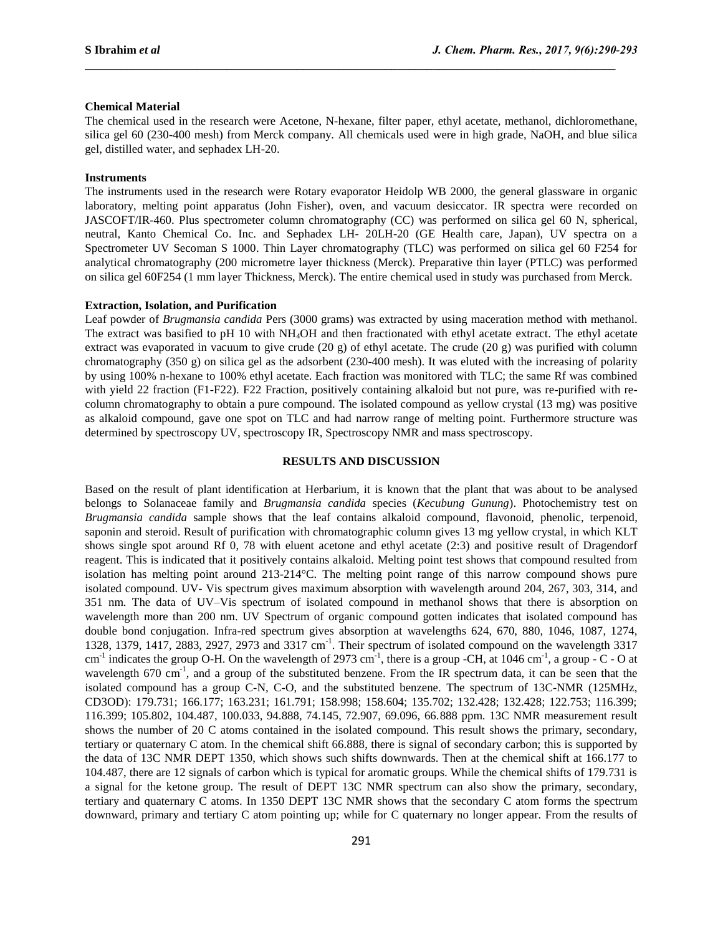#### **Chemical Material**

The chemical used in the research were Acetone, N-hexane, filter paper, ethyl acetate, methanol, dichloromethane, silica gel 60 (230-400 mesh) from Merck company. All chemicals used were in high grade, NaOH, and blue silica gel, distilled water, and sephadex LH-20.

 $\mathcal{L}_\mathcal{L} = \{ \mathcal{L}_\mathcal{L} = \{ \mathcal{L}_\mathcal{L} = \{ \mathcal{L}_\mathcal{L} = \{ \mathcal{L}_\mathcal{L} = \{ \mathcal{L}_\mathcal{L} = \{ \mathcal{L}_\mathcal{L} = \{ \mathcal{L}_\mathcal{L} = \{ \mathcal{L}_\mathcal{L} = \{ \mathcal{L}_\mathcal{L} = \{ \mathcal{L}_\mathcal{L} = \{ \mathcal{L}_\mathcal{L} = \{ \mathcal{L}_\mathcal{L} = \{ \mathcal{L}_\mathcal{L} = \{ \mathcal{L}_\mathcal{$ 

#### **Instruments**

The instruments used in the research were Rotary evaporator Heidolp WB 2000, the general glassware in organic laboratory, melting point apparatus (John Fisher), oven, and vacuum desiccator. IR spectra were recorded on JASCOFT/IR-460. Plus spectrometer column chromatography (CC) was performed on silica gel 60 N, spherical, neutral, Kanto Chemical Co. Inc. and Sephadex LH- 20LH-20 (GE Health care, Japan), UV spectra on a Spectrometer UV Secoman S 1000. Thin Layer chromatography (TLC) was performed on silica gel 60 F254 for analytical chromatography (200 micrometre layer thickness (Merck). Preparative thin layer (PTLC) was performed on silica gel 60F254 (1 mm layer Thickness, Merck). The entire chemical used in study was purchased from Merck.

#### **Extraction, Isolation, and Purification**

Leaf powder of *Brugmansia candida* Pers (3000 grams) was extracted by using maceration method with methanol. The extract was basified to pH 10 with NH4OH and then fractionated with ethyl acetate extract. The ethyl acetate extract was evaporated in vacuum to give crude (20 g) of ethyl acetate. The crude (20 g) was purified with column chromatography (350 g) on silica gel as the adsorbent (230-400 mesh). It was eluted with the increasing of polarity by using 100% n-hexane to 100% ethyl acetate. Each fraction was monitored with TLC; the same Rf was combined with yield 22 fraction (F1-F22). F22 Fraction, positively containing alkaloid but not pure, was re-purified with recolumn chromatography to obtain a pure compound. The isolated compound as yellow crystal (13 mg) was positive as alkaloid compound, gave one spot on TLC and had narrow range of melting point. Furthermore structure was determined by spectroscopy UV, spectroscopy IR, Spectroscopy NMR and mass spectroscopy.

#### **RESULTS AND DISCUSSION**

Based on the result of plant identification at Herbarium, it is known that the plant that was about to be analysed belongs to Solanaceae family and *Brugmansia candida* species (*Kecubung Gunung*). Photochemistry test on *Brugmansia candida* sample shows that the leaf contains alkaloid compound, flavonoid, phenolic, terpenoid, saponin and steroid. Result of purification with chromatographic column gives 13 mg yellow crystal, in which KLT shows single spot around Rf 0, 78 with eluent acetone and ethyl acetate (2:3) and positive result of Dragendorf reagent. This is indicated that it positively contains alkaloid. Melting point test shows that compound resulted from isolation has melting point around 213-214°C. The melting point range of this narrow compound shows pure isolated compound. UV- Vis spectrum gives maximum absorption with wavelength around 204, 267, 303, 314, and 351 nm. The data of UV–Vis spectrum of isolated compound in methanol shows that there is absorption on wavelength more than 200 nm. UV Spectrum of organic compound gotten indicates that isolated compound has double bond conjugation. Infra-red spectrum gives absorption at wavelengths 624, 670, 880, 1046, 1087, 1274, 1328, 1379, 1417, 2883, 2927, 2973 and 3317 cm<sup>-1</sup>. Their spectrum of isolated compound on the wavelength 3317 cm<sup>-1</sup> indicates the group O-H. On the wavelength of 2973 cm<sup>-1</sup>, there is a group -CH, at 1046 cm<sup>-1</sup>, a group - C - O at wavelength 670 cm<sup>-1</sup>, and a group of the substituted benzene. From the IR spectrum data, it can be seen that the isolated compound has a group C-N, C-O, and the substituted benzene. The spectrum of 13C-NMR (125MHz, CD3OD): 179.731; 166.177; 163.231; 161.791; 158.998; 158.604; 135.702; 132.428; 132.428; 122.753; 116.399; 116.399; 105.802, 104.487, 100.033, 94.888, 74.145, 72.907, 69.096, 66.888 ppm. 13C NMR measurement result shows the number of 20 C atoms contained in the isolated compound. This result shows the primary, secondary, tertiary or quaternary C atom. In the chemical shift 66.888, there is signal of secondary carbon; this is supported by the data of 13C NMR DEPT 1350, which shows such shifts downwards. Then at the chemical shift at 166.177 to 104.487, there are 12 signals of carbon which is typical for aromatic groups. While the chemical shifts of 179.731 is a signal for the ketone group. The result of DEPT 13C NMR spectrum can also show the primary, secondary, tertiary and quaternary C atoms. In 1350 DEPT 13C NMR shows that the secondary C atom forms the spectrum downward, primary and tertiary C atom pointing up; while for C quaternary no longer appear. From the results of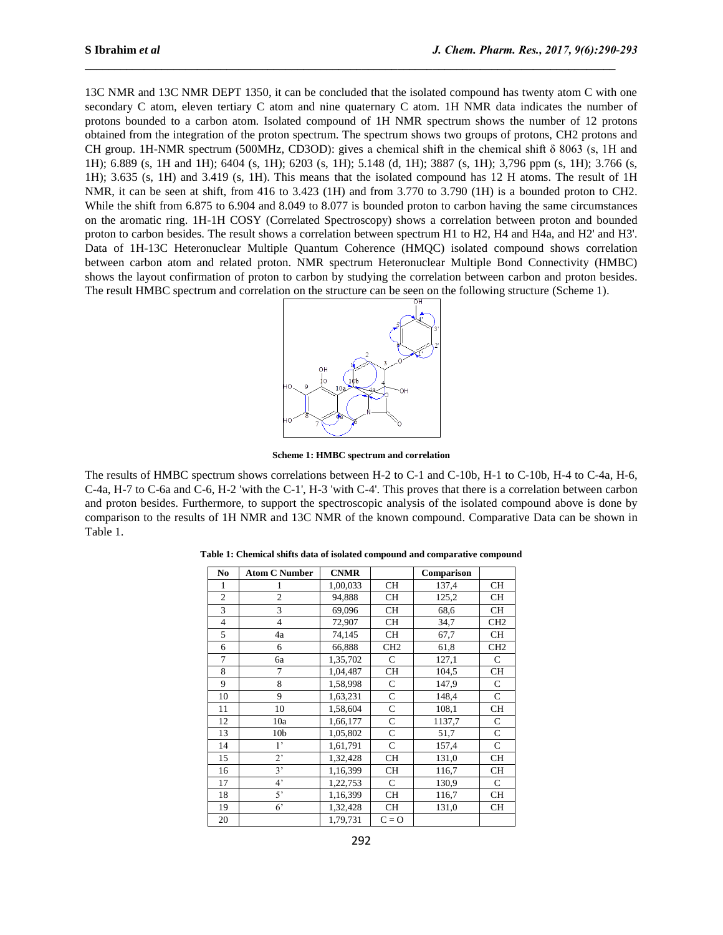13C NMR and 13C NMR DEPT 1350, it can be concluded that the isolated compound has twenty atom C with one secondary C atom, eleven tertiary C atom and nine quaternary C atom. 1H NMR data indicates the number of protons bounded to a carbon atom. Isolated compound of 1H NMR spectrum shows the number of 12 protons obtained from the integration of the proton spectrum. The spectrum shows two groups of protons, CH2 protons and CH group. 1H-NMR spectrum (500MHz, CD3OD): gives a chemical shift in the chemical shift δ 8063 (s, 1H and 1H); 6.889 (s, 1H and 1H); 6404 (s, 1H); 6203 (s, 1H); 5.148 (d, 1H); 3887 (s, 1H); 3,796 ppm (s, 1H); 3.766 (s, 1H); 3.635 (s, 1H) and 3.419 (s, 1H). This means that the isolated compound has 12 H atoms. The result of 1H NMR, it can be seen at shift, from 416 to 3.423 (1H) and from 3.770 to 3.790 (1H) is a bounded proton to CH2. While the shift from 6.875 to 6.904 and 8.049 to 8.077 is bounded proton to carbon having the same circumstances on the aromatic ring. 1H-1H COSY (Correlated Spectroscopy) shows a correlation between proton and bounded proton to carbon besides. The result shows a correlation between spectrum H1 to H2, H4 and H4a, and H2' and H3'. Data of 1H-13C Heteronuclear Multiple Quantum Coherence (HMQC) isolated compound shows correlation between carbon atom and related proton. NMR spectrum Heteronuclear Multiple Bond Connectivity (HMBC) shows the layout confirmation of proton to carbon by studying the correlation between carbon and proton besides. The result HMBC spectrum and correlation on the structure can be seen on the following structure (Scheme 1).

 $\mathcal{L}_\mathcal{L} = \{ \mathcal{L}_\mathcal{L} = \{ \mathcal{L}_\mathcal{L} = \{ \mathcal{L}_\mathcal{L} = \{ \mathcal{L}_\mathcal{L} = \{ \mathcal{L}_\mathcal{L} = \{ \mathcal{L}_\mathcal{L} = \{ \mathcal{L}_\mathcal{L} = \{ \mathcal{L}_\mathcal{L} = \{ \mathcal{L}_\mathcal{L} = \{ \mathcal{L}_\mathcal{L} = \{ \mathcal{L}_\mathcal{L} = \{ \mathcal{L}_\mathcal{L} = \{ \mathcal{L}_\mathcal{L} = \{ \mathcal{L}_\mathcal{$ 



**Scheme 1: HMBC spectrum and correlation**

The results of HMBC spectrum shows correlations between H-2 to C-1 and C-10b, H-1 to C-10b, H-4 to C-4a, H-6, C-4a, H-7 to C-6a and C-6, H-2 'with the C-1', H-3 'with C-4'. This proves that there is a correlation between carbon and proton besides. Furthermore, to support the spectroscopic analysis of the isolated compound above is done by comparison to the results of 1H NMR and 13C NMR of the known compound. Comparative Data can be shown in Table 1.

| No             | <b>Atom C Number</b> | <b>CNMR</b> |                 | Comparison |                 |
|----------------|----------------------|-------------|-----------------|------------|-----------------|
| 1              |                      | 1,00,033    | <b>CH</b>       | 137,4      | <b>CH</b>       |
| $\overline{c}$ | $\overline{c}$       | 94,888      | <b>CH</b>       | 125,2      | <b>CH</b>       |
| 3              | 3                    | 69,096      | <b>CH</b>       | 68.6       | <b>CH</b>       |
| $\overline{4}$ | 4                    | 72,907      | <b>CH</b>       | 34,7       | CH <sub>2</sub> |
| 5              | 4a                   | 74,145      | CH              | 67,7       | <b>CH</b>       |
| 6              | 6                    | 66,888      | CH <sub>2</sub> | 61,8       | CH <sub>2</sub> |
| 7              | 6a                   | 1,35,702    | C               | 127,1      | C               |
| 8              | 7                    | 1,04,487    | <b>CH</b>       | 104,5      | <b>CH</b>       |
| 9              | 8                    | 1,58,998    | C               | 147,9      | C               |
| 10             | 9                    | 1,63,231    | $\mathsf{C}$    | 148,4      | C               |
| 11             | 10                   | 1,58,604    | $\mathsf{C}$    | 108,1      | CH              |
| 12             | 10a                  | 1,66,177    | $\mathsf{C}$    | 1137,7     | C               |
| 13             | 10 <sub>b</sub>      | 1,05,802    | $\mathbf C$     | 51,7       | $\mathsf{C}$    |
| 14             | $1^{\circ}$          | 1,61,791    | $\mathbf C$     | 157,4      | $\mathsf{C}$    |
| 15             | $2^{\circ}$          | 1,32,428    | CH              | 131,0      | <b>CH</b>       |
| 16             | 3'                   | 1,16,399    | CH              | 116,7      | <b>CH</b>       |
| 17             | $4^{\circ}$          | 1,22,753    | $\mathsf{C}$    | 130,9      | $\mathsf{C}$    |
| 18             | 5'                   | 1,16,399    | CH              | 116,7      | <b>CH</b>       |
| 19             | $6^{\circ}$          | 1,32,428    | CH              | 131,0      | <b>CH</b>       |
| 20             |                      | 1,79,731    | $C = 0$         |            |                 |

**Table 1: Chemical shifts data of isolated compound and comparative compound**